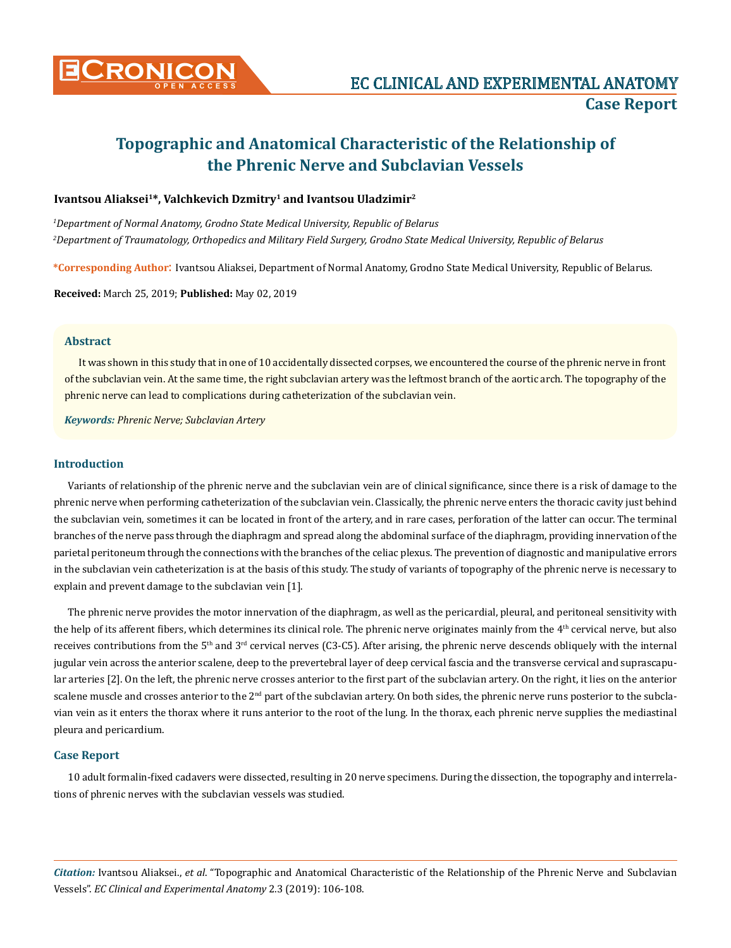

# **Topographic and Anatomical Characteristic of the Relationship of the Phrenic Nerve and Subclavian Vessels**

## **Ivantsou Aliaksei1\*, Valchkevich Dzmitry1 and Ivantsou Uladzimir2**

*1 Department of Normal Anatomy, Grodno State Medical University, Republic of Belarus 2 Department of Traumatology, Orthopedics and Military Field Surgery, Grodno State Medical University, Republic of Belarus*

**\*Corresponding Author**: Ivantsou Aliaksei, Department of Normal Anatomy, Grodno State Medical University, Republic of Belarus.

**Received:** March 25, 2019; **Published:** May 02, 2019

#### **Abstract**

It was shown in this study that in one of 10 accidentally dissected corpses, we encountered the course of the phrenic nerve in front of the subclavian vein. At the same time, the right subclavian artery was the leftmost branch of the aortic arch. The topography of the phrenic nerve can lead to complications during catheterization of the subclavian vein.

*Keywords: Phrenic Nerve; Subclavian Artery*

## **Introduction**

Variants of relationship of the phrenic nerve and the subclavian vein are of clinical significance, since there is a risk of damage to the phrenic nerve when performing catheterization of the subclavian vein. Classically, the phrenic nerve enters the thoracic cavity just behind the subclavian vein, sometimes it can be located in front of the artery, and in rare cases, perforation of the latter can occur. The terminal branches of the nerve pass through the diaphragm and spread along the abdominal surface of the diaphragm, providing innervation of the parietal peritoneum through the connections with the branches of the celiac plexus. The prevention of diagnostic and manipulative errors in the subclavian vein catheterization is at the basis of this study. The study of variants of topography of the phrenic nerve is necessary to explain and prevent damage to the subclavian vein [1].

The phrenic nerve provides the motor innervation of the diaphragm, as well as the pericardial, pleural, and peritoneal sensitivity with the help of its afferent fibers, which determines its clinical role. The phrenic nerve originates mainly from the  $4<sup>th</sup>$  cervical nerve, but also receives contributions from the  $5<sup>th</sup>$  and  $3<sup>rd</sup>$  cervical nerves (C3-C5). After arising, the phrenic nerve descends obliquely with the internal jugular vein across the anterior scalene, deep to the prevertebral layer of deep cervical fascia and the transverse cervical and suprascapular arteries [2]. On the left, the phrenic nerve crosses anterior to the first part of the subclavian artery. On the right, it lies on the anterior scalene muscle and crosses anterior to the 2<sup>nd</sup> part of the subclavian artery. On both sides, the phrenic nerve runs posterior to the subclavian vein as it enters the thorax where it runs anterior to the root of the lung. In the thorax, each phrenic nerve supplies the mediastinal pleura and pericardium.

### **Case Report**

10 adult formalin-fixed cadavers were dissected, resulting in 20 nerve specimens. During the dissection, the topography and interrelations of phrenic nerves with the subclavian vessels was studied.

*Citation:* Ivantsou Aliaksei., *et al*. "Topographic and Anatomical Characteristic of the Relationship of the Phrenic Nerve and Subclavian Vessels". *EC Clinical and Experimental Anatomy* 2.3 (2019): 106-108.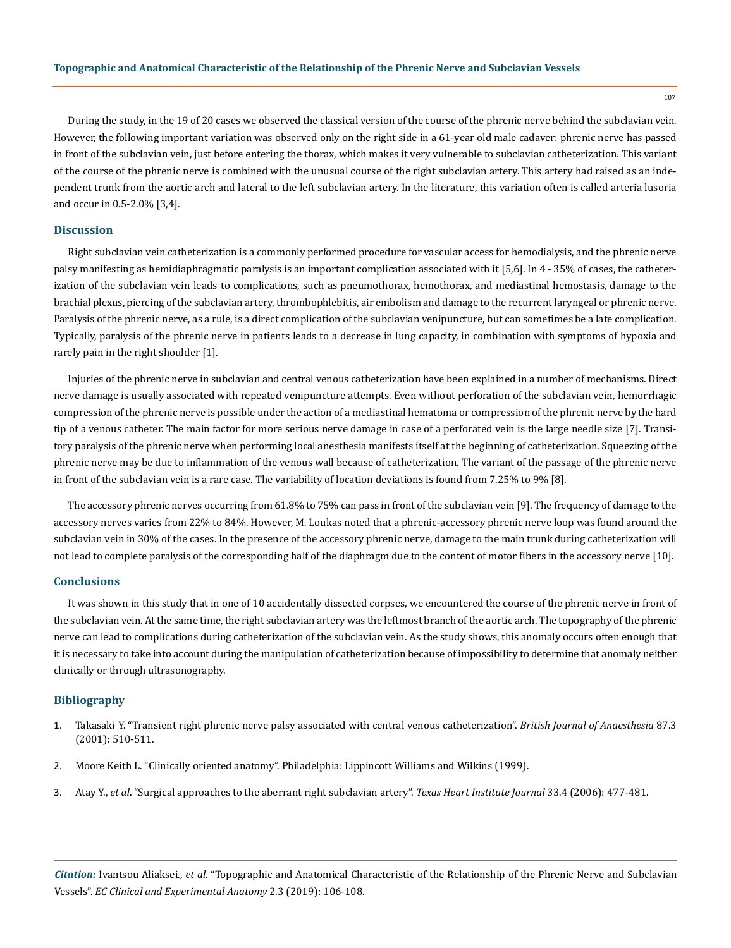During the study, in the 19 of 20 cases we observed the classical version of the course of the phrenic nerve behind the subclavian vein. However, the following important variation was observed only on the right side in a 61-year old male cadaver: phrenic nerve has passed in front of the subclavian vein, just before entering the thorax, which makes it very vulnerable to subclavian catheterization. This variant of the course of the phrenic nerve is combined with the unusual course of the right subclavian artery. This artery had raised as an independent trunk from the aortic arch and lateral to the left subclavian artery. In the literature, this variation often is called arteria lusoria and occur in 0.5-2.0% [3,4].

#### **Discussion**

Right subclavian vein catheterization is a commonly performed procedure for vascular access for hemodialysis, and the phrenic nerve palsy manifesting as hemidiaphragmatic paralysis is an important complication associated with it [5,6]. In 4 - 35% of cases, the catheterization of the subclavian vein leads to complications, such as pneumothorax, hemothorax, and mediastinal hemostasis, damage to the brachial plexus, piercing of the subclavian artery, thrombophlebitis, air embolism and damage to the recurrent laryngeal or phrenic nerve. Paralysis of the phrenic nerve, as a rule, is a direct complication of the subclavian venipuncture, but can sometimes be a late complication. Typically, paralysis of the phrenic nerve in patients leads to a decrease in lung capacity, in combination with symptoms of hypoxia and rarely pain in the right shoulder [1].

Injuries of the phrenic nerve in subclavian and central venous catheterization have been explained in a number of mechanisms. Direct nerve damage is usually associated with repeated venipuncture attempts. Even without perforation of the subclavian vein, hemorrhagic compression of the phrenic nerve is possible under the action of a mediastinal hematoma or compression of the phrenic nerve by the hard tip of a venous catheter. The main factor for more serious nerve damage in case of a perforated vein is the large needle size [7]. Transitory paralysis of the phrenic nerve when performing local anesthesia manifests itself at the beginning of catheterization. Squeezing of the phrenic nerve may be due to inflammation of the venous wall because of catheterization. The variant of the passage of the phrenic nerve in front of the subclavian vein is a rare case. The variability of location deviations is found from 7.25% to 9% [8].

The accessory phrenic nerves occurring from 61.8% to 75% can pass in front of the subclavian vein [9]. The frequency of damage to the accessory nerves varies from 22% to 84%. However, M. Loukas noted that a phrenic-accessory phrenic nerve loop was found around the subclavian vein in 30% of the cases. In the presence of the accessory phrenic nerve, damage to the main trunk during catheterization will not lead to complete paralysis of the corresponding half of the diaphragm due to the content of motor fibers in the accessory nerve [10].

#### **Conclusions**

It was shown in this study that in one of 10 accidentally dissected corpses, we encountered the course of the phrenic nerve in front of the subclavian vein. At the same time, the right subclavian artery was the leftmost branch of the aortic arch. The topography of the phrenic nerve can lead to complications during catheterization of the subclavian vein. As the study shows, this anomaly occurs often enough that it is necessary to take into account during the manipulation of catheterization because of impossibility to determine that anomaly neither clinically or through ultrasonography.

### **Bibliography**

- 1. [Takasaki Y. "Transient right phrenic nerve palsy associated with central venous catheterization".](https://www.ncbi.nlm.nih.gov/pubmed/11517143) *British Journal of Anaesthesia* 87.3 [\(2001\): 510-511.](https://www.ncbi.nlm.nih.gov/pubmed/11517143)
- 2. Moore Keith L. "Clinically oriented anatomy". Philadelphia: Lippincott Williams and Wilkins (1999).
- 3. Atay Y., *et al*[. "Surgical approaches to the aberrant right subclavian artery".](https://www.ncbi.nlm.nih.gov/pmc/articles/PMC1764953/) *Texas Heart Institute Journal* 33.4 (2006): 477-481.

*Citation:* Ivantsou Aliaksei., *et al*. "Topographic and Anatomical Characteristic of the Relationship of the Phrenic Nerve and Subclavian Vessels". *EC Clinical and Experimental Anatomy* 2.3 (2019): 106-108.

107